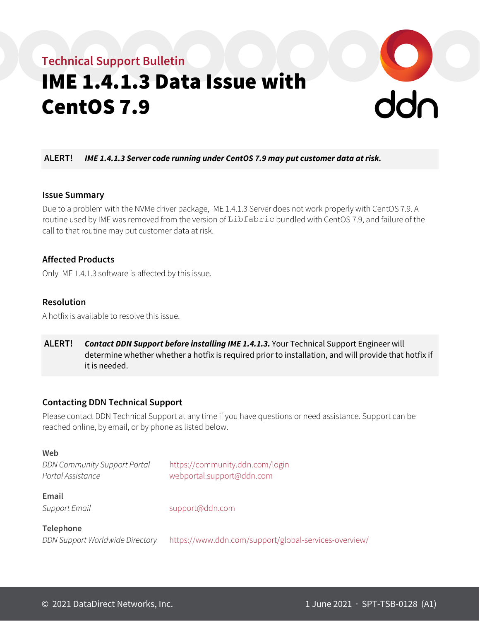# **Technical Support Bulletin** IME 1.4.1.3 Data Issue with CentOS 7.9



### **ALERT!** *IME 1.4.1.3 Server code running under CentOS 7.9 may put customer data at risk.*

#### **Issue Summary**

Due to a problem with the NVMe driver package, IME 1.4.1.3 Server does not work properly with CentOS 7.9. A routine used by IME was removed from the version of Libfabric bundled with CentOS 7.9, and failure of the call to that routine may put customer data at risk.

### **Affected Products**

Only IME 1.4.1.3 software is affected by this issue.

#### **Resolution**

A hotfix is available to resolve this issue.

**ALERT!** *Contact DDN Support before installing IME 1.4.1.3.* Your Technical Support Engineer will determine whether whether a hotfix is required prior to installation, and will provide that hotfix if it is needed.

### **Contacting DDN Technical Support**

Please contact DDN Technical Support at any time if you have questions or need assistance. Support can be reached online, by email, or by phone as listed below.

## **Web**  *DDN Community Support Portal* <https://community.ddn.com/login> *Portal Assistance* [webportal.support@ddn.com](mailto:webportal.support@ddn.com) **Email**  *Support Email* [support@ddn.com](mailto:support@ddn.com) **Telephone**

*DDN Support Worldwide Directory* <https://www.ddn.com/support/global-services-overview/>